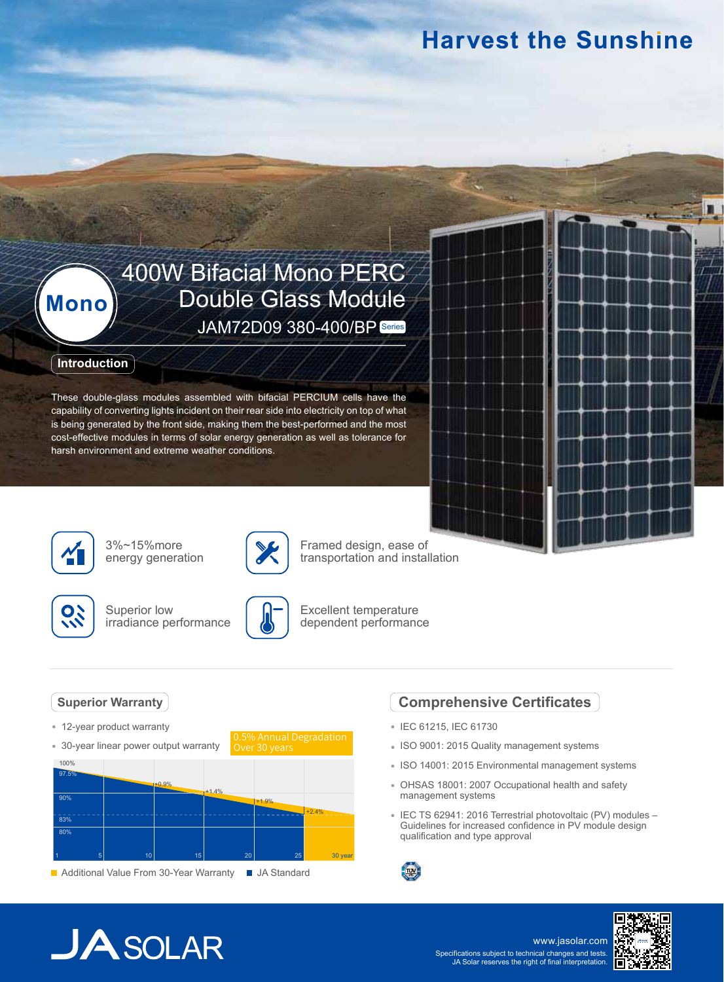## **Harvest the Sunshine**

# 400W Bifacial Mono PERC **Mono** Double Glass Module JAM72D09 380-400/BP Series

### **Introduction**

These double-glass modules assembled with bifacial PERCIUM cells have the capability of converting lights incident on their rear side into electricity on top of what is being generated by the front side, making them the best-performed and the most cost-effective modules in terms of solar energy generation as well as tolerance for harsh environment and extreme weather conditions.



3%~15%more energy generation



Superior low irradiance performance



0.5% Annual Degradation

Over 30 years

Excellent temperature dependent performance

Framed design, ease of transportation and installation

### **Superior Warranty**

- 12-year product warranty
- 30-year linear power output warranty



### **Comprehensive Certificates**

- IEC 61215, IEC 61730
- ISO 9001: 2015 Quality management systems
- ISO 14001: 2015 Environmental management systems
- OHSAS 18001: 2007 Occupational health and safety management systems
- IEC TS 62941: 2016 Terrestrial photovoltaic (PV) modules Guidelines for increased confidence in PV module design qualification and type approval



# $JASOLAR$

www.jasolar.com Specifications subject to technical changes and tests. JA Solar reserves the right of final interpretation.